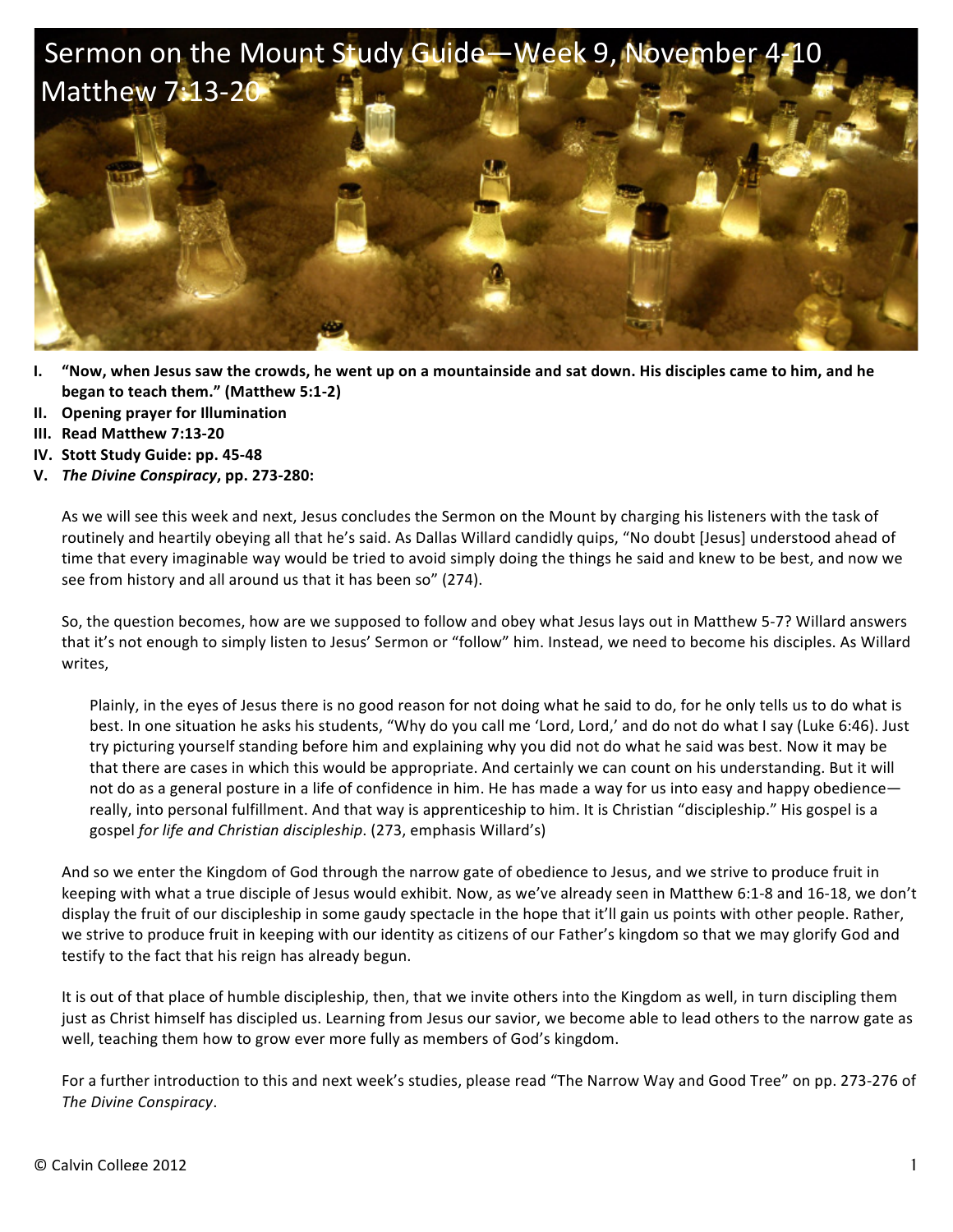

- **I.** "Now, when Jesus saw the crowds, he went up on a mountainside and sat down. His disciples came to him, and he **began to teach them."** (Matthew 5:1-2)
- **II. Opening prayer for Illumination**
- **III. Read Matthew 7:13-20**
- **IV.** Stott Study Guide: pp. 45-48
- **V.** *The Divine Conspiracy***, pp. 273-280:**

As we will see this week and next, Jesus concludes the Sermon on the Mount by charging his listeners with the task of routinely and heartily obeying all that he's said. As Dallas Willard candidly quips, "No doubt [Jesus] understood ahead of time that every imaginable way would be tried to avoid simply doing the things he said and knew to be best, and now we see from history and all around us that it has been so" (274).

So, the question becomes, how are we supposed to follow and obey what Jesus lays out in Matthew 5-7? Willard answers that it's not enough to simply listen to Jesus' Sermon or "follow" him. Instead, we need to become his disciples. As Willard writes,

Plainly, in the eyes of Jesus there is no good reason for not doing what he said to do, for he only tells us to do what is best. In one situation he asks his students, "Why do you call me 'Lord, Lord,' and do not do what I say (Luke 6:46). Just try picturing yourself standing before him and explaining why you did not do what he said was best. Now it may be that there are cases in which this would be appropriate. And certainly we can count on his understanding. But it will not do as a general posture in a life of confidence in him. He has made a way for us into easy and happy obedience really, into personal fulfillment. And that way is apprenticeship to him. It is Christian "discipleship." His gospel is a gospel for life and Christian discipleship. (273, emphasis Willard's)

And so we enter the Kingdom of God through the narrow gate of obedience to Jesus, and we strive to produce fruit in keeping with what a true disciple of Jesus would exhibit. Now, as we've already seen in Matthew 6:1-8 and 16-18, we don't display the fruit of our discipleship in some gaudy spectacle in the hope that it'll gain us points with other people. Rather, we strive to produce fruit in keeping with our identity as citizens of our Father's kingdom so that we may glorify God and testify to the fact that his reign has already begun.

It is out of that place of humble discipleship, then, that we invite others into the Kingdom as well, in turn discipling them just as Christ himself has discipled us. Learning from Jesus our savior, we become able to lead others to the narrow gate as well, teaching them how to grow ever more fully as members of God's kingdom.

For a further introduction to this and next week's studies, please read "The Narrow Way and Good Tree" on pp. 273-276 of *The Divine Conspiracy*.